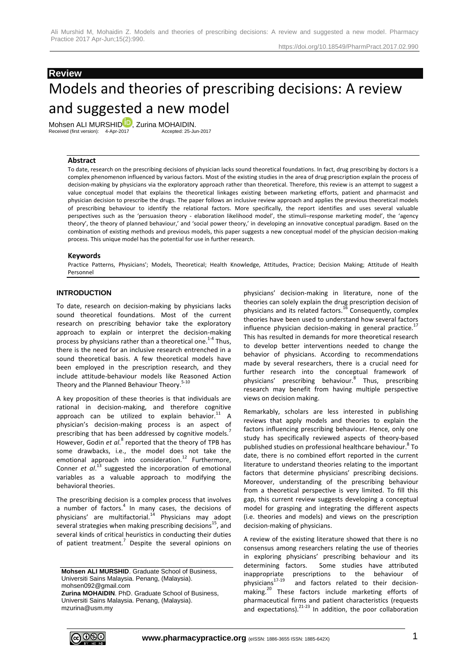# **Review**

# Models and theories of prescribing decisions: A review and suggested a new model

Mohsen ALI MURSHI[D](http://orcid.org/0000-0003-1279-8593)<sup>ID</sup>, Zurina MOHAIDIN.<br>Received (first version): 4-Apr-2017<br>Accepted: 25-Jun-2017 Received (first version): 4-Apr-2017

#### **Abstract**

To date, research on the prescribing decisions of physician lacks sound theoretical foundations. In fact, drug prescribing by doctors is a complex phenomenon influenced by various factors. Most of the existing studies in the area of drug prescription explain the process of decision-making by physicians via the exploratory approach rather than theoretical. Therefore, this review is an attempt to suggest a value conceptual model that explains the theoretical linkages existing between marketing efforts, patient and pharmacist and physician decision to prescribe the drugs. The paper follows an inclusive review approach and applies the previous theoretical models of prescribing behaviour to identify the relational factors. More specifically, the report identifies and uses several valuable perspectives such as the 'persuasion theory - elaboration likelihood model', the stimuli–response marketing model', the 'agency theory', the theory of planned behaviour,' and 'social power theory,' in developing an innovative conceptual paradigm. Based on the combination of existing methods and previous models, this paper suggests a new conceptual model of the physician decision-making process. This unique model has the potential for use in further research.

#### **Keywords**

Practice Patterns, Physicians'; Models, Theoretical; Health Knowledge, Attitudes, Practice; Decision Making; Attitude of Health Personnel

#### **INTRODUCTION**

To date, research on decision-making by physicians lacks sound theoretical foundations. Most of the current research on prescribing behavior take the exploratory approach to explain or interpret the decision-making process by physicians rather than a theoretical one.<sup>1-4</sup> Thus, there is the need for an inclusive research entrenched in a sound theoretical basis. A few theoretical models have been employed in the prescription research, and they include attitude-behaviour models like Reasoned Action Theory and the Planned Behaviour Theory.<sup>5-10</sup>

A key proposition of these theories is that individuals are rational in decision-making, and therefore cognitive approach can be utilized to explain behavior. $^{11}$  A physician's decision-making process is an aspect of prescribing that has been addressed by cognitive models.<sup>7</sup> However, Godin et al.<sup>8</sup> reported that the theory of TPB has some drawbacks, i.e., the model does not take the emotional approach into consideration.<sup>12</sup> Furthermore, Conner *et al*. <sup>13</sup> suggested the incorporation of emotional variables as a valuable approach to modifying the behavioral theories.

The prescribing decision is a complex process that involves a number of factors. $4$  In many cases, the decisions of physicians' are multifactorial.<sup>14</sup> Physicians may adopt several strategies when making prescribing decisions<sup>15</sup>, and several kinds of critical heuristics in conducting their duties of patient treatment.<sup>7</sup> Despite the several opinions on

**Mohsen ALI MURSHID**. Graduate School of Business, Universiti Sains Malaysia. Penang, (Malaysia). mohsen092@gmail.com **Zurina MOHAIDIN**. PhD. Graduate School of Business,

Universiti Sains Malaysia. Penang, (Malaysia). mzurina@usm.my

physicians' decision-making in literature, none of the theories can solely explain the drug prescription decision of physicians and its related factors.<sup>16</sup> Consequently, complex theories have been used to understand how several factors influence physician decision-making in general practice. $17$ This has resulted in demands for more theoretical research to develop better interventions needed to change the behavior of physicians. According to recommendations made by several researchers, there is a crucial need for further research into the conceptual framework of physicians' prescribing behaviour.<sup>8</sup> Thus, prescribing research may benefit from having multiple perspective views on decision making.

Remarkably, scholars are less interested in publishing reviews that apply models and theories to explain the factors influencing prescribing behaviour. Hence, only one study has specifically reviewed aspects of theory-based published studies on professional healthcare behaviour.<sup>8</sup> To date, there is no combined effort reported in the current literature to understand theories relating to the important factors that determine physicians' prescribing decisions. Moreover, understanding of the prescribing behaviour from a theoretical perspective is very limited. To fill this gap, this current review suggests developing a conceptual model for grasping and integrating the different aspects (i.e. theories and models) and views on the prescription decision-making of physicians.

A review of the existing literature showed that there is no consensus among researchers relating the use of theories in exploring physicians' prescribing behaviour and its determining factors. Some studies have attributed inappropriate prescriptions to the behaviour of physicians 17-19 and factors related to their decisionmaking.<sup>20</sup> These factors include marketing efforts of pharmaceutical firms and patient characteristics (requests and expectations). $2^{1-23}$  In addition, the poor collaboration

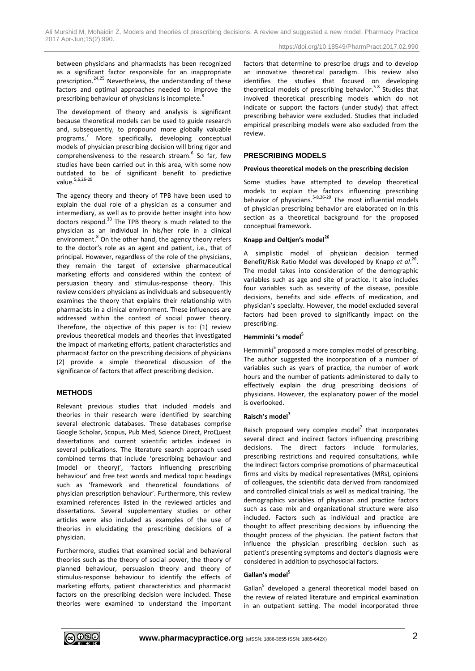between physicians and pharmacists has been recognized as a significant factor responsible for an inappropriate prescription.<sup>24,25</sup> Nevertheless, the understanding of these factors and optimal approaches needed to improve the prescribing behaviour of physicians is incomplete.<sup>8</sup>

The development of theory and analysis is significant because theoretical models can be used to guide research and, subsequently, to propound more globally valuable programs. <sup>7</sup> More specifically, developing conceptual models of physician prescribing decision will bring rigor and comprehensiveness to the research stream.<sup>6</sup> So far, few studies have been carried out in this area, with some now outdated to be of significant benefit to predictive value.<sup>5,6,26-29</sup>

The agency theory and theory of TPB have been used to explain the dual role of a physician as a consumer and intermediary, as well as to provide better insight into how doctors respond.<sup>30</sup> The TPB theory is much related to the physician as an individual in his/her role in a clinical environment.<sup>8</sup> On the other hand, the agency theory refers to the doctor's role as an agent and patient, i.e., that of principal. However, regardless of the role of the physicians, they remain the target of extensive pharmaceutical marketing efforts and considered within the context of persuasion theory and stimulus-response theory. This review considers physicians as individuals and subsequently examines the theory that explains their relationship with pharmacists in a clinical environment. These influences are addressed within the context of social power theory. Therefore, the objective of this paper is to: (1) review previous theoretical models and theories that investigated the impact of marketing efforts, patient characteristics and pharmacist factor on the prescribing decisions of physicians (2) provide a simple theoretical discussion of the significance of factors that affect prescribing decision.

## **METHODS**

Relevant previous studies that included models and theories in their research were identified by searching several electronic databases. These databases comprise Google Scholar, Scopus, Pub Med, Science Direct, ProQuest dissertations and current scientific articles indexed in several publications. The literature search approach used combined terms that include 'prescribing behaviour and (model or theory)', 'factors influencing prescribing behaviour' and free text words and medical topic headings such as 'framework and theoretical foundations of physician prescription behaviour'. Furthermore, this review examined references listed in the reviewed articles and dissertations. Several supplementary studies or other articles were also included as examples of the use of theories in elucidating the prescribing decisions of a physician.

Furthermore, studies that examined social and behavioral theories such as the theory of social power, the theory of planned behaviour, persuasion theory and theory of stimulus-response behaviour to identify the effects of marketing efforts, patient characteristics and pharmacist factors on the prescribing decision were included. These theories were examined to understand the important factors that determine to prescribe drugs and to develop an innovative theoretical paradigm. This review also identifies the studies that focused on developing theoretical models of prescribing behavior.<sup>5-8</sup> Studies that involved theoretical prescribing models which do not indicate or support the factors (under study) that affect prescribing behavior were excluded. Studies that included empirical prescribing models were also excluded from the review.

# **PRESCRIBING MODELS**

#### **Previous theoretical models on the prescribing decision**

Some studies have attempted to develop theoretical models to explain the factors influencing prescribing behavior of physicians. 5-8,26-29 The most influential models of physician prescribing behavior are elaborated on in this section as a theoretical background for the proposed conceptual framework.

## **Knapp and Oeltjen's model<sup>26</sup>**

A simplistic model of physician decision termed Benefit/Risk Ratio Model was developed by Knapp *et al*. 26 . The model takes into consideration of the demographic variables such as age and site of practice. It also includes four variables such as severity of the disease, possible decisions, benefits and side effects of medication, and physician's specialty. However, the model excluded several factors had been proved to significantly impact on the prescribing.

#### **Hemminki 's model<sup>5</sup>**

Hemminki<sup>5</sup> proposed a more complex model of prescribing. The author suggested the incorporation of a number of variables such as years of practice, the number of work hours and the number of patients administered to daily to effectively explain the drug prescribing decisions of physicians. However, the explanatory power of the model is overlooked.

#### **Raisch's model<sup>7</sup>**

Raisch proposed very complex model $^7$  that incorporates several direct and indirect factors influencing prescribing decisions. The direct factors include formularies, prescribing restrictions and required consultations, while the Indirect factors comprise promotions of pharmaceutical firms and visits by medical representatives (MRs), opinions of colleagues, the scientific data derived from randomized and controlled clinical trials as well as medical training. The demographics variables of physician and practice factors such as case mix and organizational structure were also included. Factors such as individual and practice are thought to affect prescribing decisions by influencing the thought process of the physician. The patient factors that influence the physician prescribing decision such as patient's presenting symptoms and doctor's diagnosis were considered in addition to psychosocial factors.

## **Gallan's model<sup>5</sup>**

Gallan<sup>5</sup> developed a general theoretical model based on the review of related literature and empirical examination in an outpatient setting. The model incorporated three

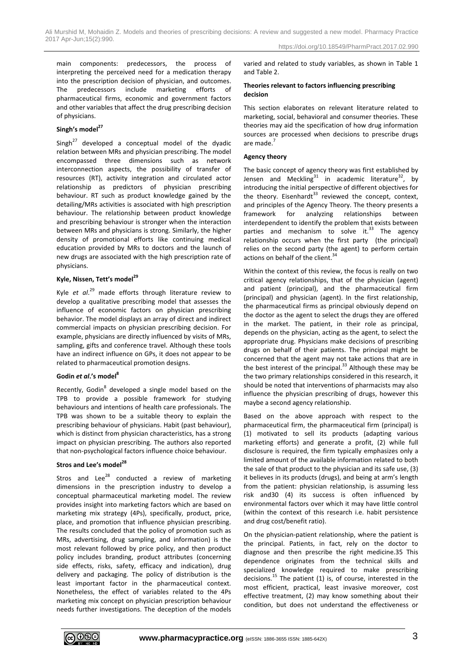main components: predecessors, the process of interpreting the perceived need for a medication therapy into the prescription decision of physician, and outcomes. The predecessors include marketing efforts of pharmaceutical firms, economic and government factors and other variables that affect the drug prescribing decision of physicians.

# **Singh's model<sup>27</sup>**

Singh $^{27}$  developed a conceptual model of the dyadic relation between MRs and physician prescribing. The model encompassed three dimensions such as network interconnection aspects, the possibility of transfer of resources (RT), activity integration and circulated actor relationship as predictors of physician prescribing behaviour. RT such as product knowledge gained by the detailing/MRs activities is associated with high prescription behaviour. The relationship between product knowledge and prescribing behaviour is stronger when the interaction between MRs and physicians is strong. Similarly, the higher density of promotional efforts like continuing medical education provided by MRs to doctors and the launch of new drugs are associated with the high prescription rate of physicians.

# **Kyle, Nissen, Tett's model<sup>29</sup>**

Kyle *et al*. <sup>29</sup> made efforts through literature review to develop a qualitative prescribing model that assesses the influence of economic factors on physician prescribing behavior. The model displays an array of direct and indirect commercial impacts on physician prescribing decision. For example, physicians are directly influenced by visits of MRs, sampling, gifts and conference travel. Although these tools have an indirect influence on GPs, it does not appear to be related to pharmaceutical promotion designs.

## **Godin** *et al***.'s model<sup>8</sup>**

Recently, Godin<sup>8</sup> developed a single model based on the TPB to provide a possible framework for studying behaviours and intentions of health care professionals. The TPB was shown to be a suitable theory to explain the prescribing behaviour of physicians. Habit (past behaviour), which is distinct from physician characteristics, has a strong impact on physician prescribing. The authors also reported that non-psychological factors influence choice behaviour.

# **Stros and Lee's model<sup>28</sup>**

Stros and Lee<sup>28</sup> conducted a review of marketing dimensions in the prescription industry to develop a conceptual pharmaceutical marketing model. The review provides insight into marketing factors which are based on marketing mix strategy (4Ps), specifically, product, price, place, and promotion that influence physician prescribing. The results concluded that the policy of promotion such as MRs, advertising, drug sampling, and information) is the most relevant followed by price policy, and then product policy includes branding, product attributes (concerning side effects, risks, safety, efficacy and indication), drug delivery and packaging. The policy of distribution is the least important factor in the pharmaceutical context. Nonetheless, the effect of variables related to the 4Ps marketing mix concept on physician prescription behaviour needs further investigations. The deception of the models varied and related to study variables, as shown in Table 1 and Table 2.

#### **Theories relevant to factors influencing prescribing decision**

This section elaborates on relevant literature related to marketing, social, behavioral and consumer theories. These theories may aid the specification of how drug information sources are processed when decisions to prescribe drugs are made.<sup>7</sup>

#### **Agency theory**

The basic concept of agency theory was first established by Jensen and Meckling<sup>31</sup> in academic literature<sup>32</sup>, by introducing the initial perspective of different objectives for the theory. Eisenhardt<sup>33</sup> reviewed the concept, context, and principles of the Agency Theory. The theory presents a framework for analyzing relationships between interdependent to identify the problem that exists between parties and mechanism to solve it. $33$  The agency relationship occurs when the first party (the principal) relies on the second party (the agent) to perform certain actions on behalf of the client.<sup>34</sup>

Within the context of this review, the focus is really on two critical agency relationships, that of the physician (agent) and patient (principal), and the pharmaceutical firm (principal) and physician (agent). In the first relationship, the pharmaceutical firms as principal obviously depend on the doctor as the agent to select the drugs they are offered in the market. The patient, in their role as principal, depends on the physician, acting as the agent, to select the appropriate drug. Physicians make decisions of prescribing drugs on behalf of their patients. The principal might be concerned that the agent may not take actions that are in the best interest of the principal. $33$  Although these may be the two primary relationships considered in this research, it should be noted that interventions of pharmacists may also influence the physician prescribing of drugs, however this maybe a second agency relationship.

Based on the above approach with respect to the pharmaceutical firm, the pharmaceutical firm (principal) is (1) motivated to sell its products (adapting various marketing efforts) and generate a profit, (2) while full disclosure is required, the firm typically emphasizes only a limited amount of the available information related to both the sale of that product to the physician and its safe use, (3) it believes in its products (drugs), and being at arm's length from the patient: physician relationship, is assuming less risk and30 (4) its success is often influenced by environmental factors over which it may have little control (within the context of this research i.e. habit persistence and drug cost/benefit ratio).

On the physician-patient relationship, where the patient is the principal. Patients, in fact, rely on the doctor to diagnose and then prescribe the right medicine.35 This dependence originates from the technical skills and specialized knowledge required to make prescribing decisions.<sup>15</sup> The patient (1) is, of course, interested in the most efficient, practical, least invasive moreover, cost effective treatment, (2) may know something about their condition, but does not understand the effectiveness or

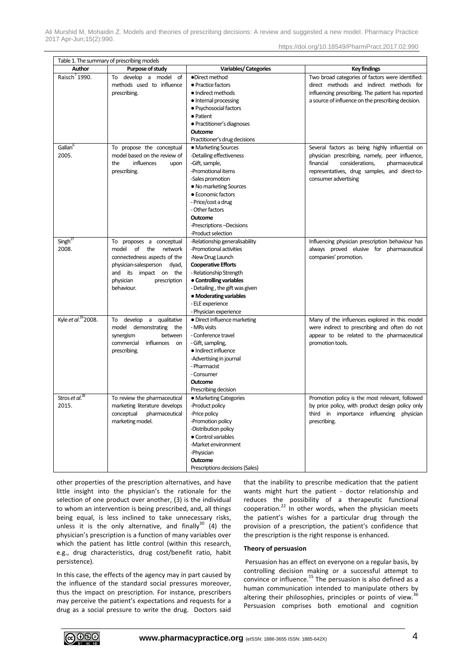https://doi.org/10.18549/PharmPract.2017.02.990

| Table 1. The summary of prescribing models |                                                  |                                           |                                                    |  |  |
|--------------------------------------------|--------------------------------------------------|-------------------------------------------|----------------------------------------------------|--|--|
| <b>Author</b>                              | Purpose of study                                 | <b>Variables/Categories</b>               | <b>Key findings</b>                                |  |  |
| Raisch <sup>7</sup> 1990.                  | To develop a model<br>of                         | •Direct method                            | Two broad categories of factors were identified:   |  |  |
|                                            | methods used to influence                        | • Practice factors                        | direct methods and indirect methods for            |  |  |
|                                            | prescribing.                                     | · Indirect methods                        | influencing prescribing. The patient has reported  |  |  |
|                                            |                                                  | • Internal processing                     | a source of influence on the prescribing decision. |  |  |
|                                            |                                                  | · Psychosocial factors                    |                                                    |  |  |
|                                            |                                                  | • Patient                                 |                                                    |  |  |
|                                            |                                                  | · Practitioner's diagnoses                |                                                    |  |  |
|                                            |                                                  | Outcome                                   |                                                    |  |  |
|                                            |                                                  | Practitioner's drug decisions             |                                                    |  |  |
| Gallan <sup>b</sup>                        | To propose the conceptual                        | • Marketing Sources                       | Several factors as being highly influential on     |  |  |
| 2005.                                      | model based on the review of                     | -Detailing effectiveness                  | physician prescribing, namely, peer influence,     |  |  |
|                                            | influences<br>the<br>upon                        | -Gift, sample,                            | financial<br>considerations,<br>pharmaceutical     |  |  |
|                                            | prescribing.                                     | -Promotional items                        | representatives, drug samples, and direct-to-      |  |  |
|                                            |                                                  | -Sales promotion                          | consumer advertising                               |  |  |
|                                            |                                                  | • No marketing Sources                    |                                                    |  |  |
|                                            |                                                  | • Economic factors                        |                                                    |  |  |
|                                            |                                                  | - Price/cost a drug                       |                                                    |  |  |
|                                            |                                                  | - Other factors                           |                                                    |  |  |
|                                            |                                                  | Outcome                                   |                                                    |  |  |
|                                            |                                                  | -Prescriptions-Decisions                  |                                                    |  |  |
|                                            |                                                  | -Product selection                        |                                                    |  |  |
| Singh <sup>27</sup>                        | To proposes a conceptual                         | -Relationship generalisability            | Influencing physician prescription behaviour has   |  |  |
| 2008.                                      | model of the network                             | -Promotional activities                   | always proved elusive for pharmaceutical           |  |  |
|                                            | connectedness aspects of the                     | -New Drug Launch                          | companies' promotion.                              |  |  |
|                                            | physician-salesperson<br>dyad,                   | <b>Cooperative Efforts</b>                |                                                    |  |  |
|                                            | and its impact on the                            | - Relationship Strength                   |                                                    |  |  |
|                                            | physician<br>prescription                        | • Controlling variables                   |                                                    |  |  |
|                                            | behaviour.                                       | - Detailing, the gift was given           |                                                    |  |  |
|                                            |                                                  | • Moderating variables                    |                                                    |  |  |
|                                            |                                                  | - ELE experience                          |                                                    |  |  |
|                                            |                                                  | - Physician experience                    |                                                    |  |  |
| Kyle et al. $^{29}$ 2008.                  | develop a qualitative<br>To                      | · Direct influence marketing              | Many of the influences explored in this model      |  |  |
|                                            | model demonstrating<br>the                       | - MRs visits                              | were indirect to prescribing and often do not      |  |  |
|                                            | synergism<br>between                             | - Conference travel                       | appear to be related to the pharmaceutical         |  |  |
|                                            | commercial<br>influences on                      | - Gift, sampling,                         | promotion tools.                                   |  |  |
|                                            | prescribing.                                     | · Indirect influence                      |                                                    |  |  |
|                                            |                                                  | -Advertising in journal<br>- Pharmacist   |                                                    |  |  |
|                                            |                                                  |                                           |                                                    |  |  |
|                                            |                                                  | - Consumer                                |                                                    |  |  |
|                                            |                                                  | Outcome                                   |                                                    |  |  |
|                                            |                                                  | Prescribing decision                      |                                                    |  |  |
| Stros et al. <sup>28</sup>                 | To review the pharmaceutical                     | • Marketing Categories                    | Promotion policy is the most relevant, followed    |  |  |
| 2015.                                      | marketing literature develops                    | -Product policy                           | by price policy, with product design policy only   |  |  |
|                                            | conceptual<br>pharmaceutical<br>marketing model. | -Price policy                             | third in importance influencing physician          |  |  |
|                                            |                                                  | -Promotion policy<br>-Distribution policy | prescribing.                                       |  |  |
|                                            |                                                  | • Control variables                       |                                                    |  |  |
|                                            |                                                  | -Market environment                       |                                                    |  |  |
|                                            |                                                  | -Physician                                |                                                    |  |  |
|                                            |                                                  | Outcome                                   |                                                    |  |  |
|                                            |                                                  |                                           |                                                    |  |  |
|                                            |                                                  | Prescriptions decisions (Sales)           |                                                    |  |  |

other properties of the prescription alternatives, and have little insight into the physician's the rationale for the selection of one product over another, (3) is the individual to whom an intervention is being prescribed, and, all things being equal, is less inclined to take unnecessary risks, unless it is the only alternative, and finally<sup>30</sup> (4) the physician's prescription is a function of many variables over which the patient has little control (within this research, e.g., drug characteristics, drug cost/benefit ratio, habit persistence).

In this case, the effects of the agency may in part caused by the influence of the standard social pressures moreover, thus the impact on prescription. For instance, prescribers may perceive the patient's expectations and requests for a drug as a social pressure to write the drug. Doctors said that the inability to prescribe medication that the patient wants might hurt the patient - doctor relationship and reduces the possibility of a therapeutic functional cooperation. $22$  In other words, when the physician meets the patient's wishes for a particular drug through the provision of a prescription, the patient's confidence that the prescription is the right response is enhanced.

## **Theory of persuasion**

Persuasion has an effect on everyone on a regular basis, by controlling decision making or a successful attempt to convince or influence.<sup>15</sup> The persuasion is also defined as a convince or influence. The personal straightform human communication intended to manipulate others by altering their philosophies, principles or points of view.<sup>3</sup> Persuasion comprises both emotional and cognition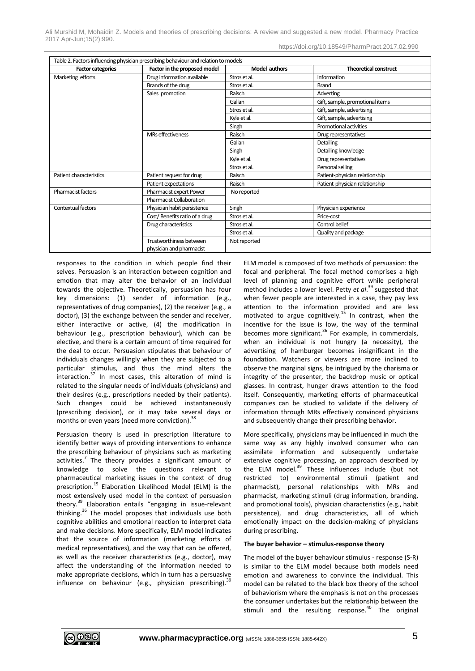https://doi.org/10.18549/PharmPract.2017.02.990

| Table 2. Factors influencing physician prescribing behaviour and relation to models |                                 |               |                                 |  |  |
|-------------------------------------------------------------------------------------|---------------------------------|---------------|---------------------------------|--|--|
| <b>Factor categories</b>                                                            | Factor in the proposed model    | Model authors | <b>Theoretical construct</b>    |  |  |
| Marketing efforts                                                                   | Drug information available      | Stros et al.  | Information                     |  |  |
|                                                                                     | Brands of the drug              | Stros et al.  | <b>Brand</b>                    |  |  |
|                                                                                     | Sales promotion                 | Raisch        | Adverting                       |  |  |
|                                                                                     |                                 | Gallan        | Gift, sample, promotional items |  |  |
|                                                                                     |                                 | Stros et al.  | Gift, sample, advertising       |  |  |
|                                                                                     |                                 | Kyle et al.   | Gift, sample, advertising       |  |  |
|                                                                                     |                                 | Singh         | Promotional activities          |  |  |
|                                                                                     | MRs effectiveness               | Raisch        | Drug representatives            |  |  |
|                                                                                     |                                 | Gallan        | <b>Detailing</b>                |  |  |
|                                                                                     |                                 | Singh         | Detailing knowledge             |  |  |
|                                                                                     |                                 | Kyle et al.   | Drug representatives            |  |  |
|                                                                                     |                                 | Stros et al.  | Personal selling                |  |  |
| Patient characteristics                                                             | Patient request for drug        | Raisch        | Patient-physician relationship  |  |  |
|                                                                                     | Patient expectations            | Raisch        | Patient-physician relationship  |  |  |
| Pharmacist factors                                                                  | Pharmacist expert Power         | No reported   |                                 |  |  |
|                                                                                     | <b>Pharmacist Collaboration</b> |               |                                 |  |  |
| Contextual factors                                                                  | Physician habit persistence     | Singh         | Physician experience            |  |  |
|                                                                                     | Cost/Benefits ratio of a drug   | Stros et al.  | Price-cost                      |  |  |
|                                                                                     | Drug characteristics            | Stros et al.  | Control belief                  |  |  |
|                                                                                     |                                 | Stros et al.  | Quality and package             |  |  |
|                                                                                     | Trustworthiness between         | Not reported  |                                 |  |  |
|                                                                                     | physician and pharmacist        |               |                                 |  |  |

responses to the condition in which people find their selves. Persuasion is an interaction between cognition and emotion that may alter the behavior of an individual towards the objective. Theoretically, persuasion has four key dimensions: (1) sender of information (e.g., representatives of drug companies), (2) the receiver (e.g., a doctor), (3) the exchange between the sender and receiver, either interactive or active, (4) the modification in behaviour (e.g., prescription behaviour), which can be elective, and there is a certain amount of time required for the deal to occur. Persuasion stipulates that behaviour of individuals changes willingly when they are subjected to a particular stimulus, and thus the mind alters the interaction. $37$  In most cases, this alteration of mind is related to the singular needs of individuals (physicians) and their desires (e.g., prescriptions needed by their patients). Such changes could be achieved instantaneously (prescribing decision), or it may take several days or months or even years (need more conviction).<sup>38</sup>

Persuasion theory is used in prescription literature to identify better ways of providing interventions to enhance the prescribing behaviour of physicians such as marketing activities.<sup>7</sup> The theory provides a significant amount of knowledge to solve the questions relevant to pharmaceutical marketing issues in the context of drug prescription.<sup>15</sup> Elaboration Likelihood Model (ELM) is the most extensively used model in the context of persuasion theory.<sup>39</sup> Elaboration entails "engaging in issue-relevant thinking.<sup>36</sup> The model proposes that individuals use both cognitive abilities and emotional reaction to interpret data and make decisions. More specifically, ELM model indicates that the source of information (marketing efforts of medical representatives), and the way that can be offered, as well as the receiver characteristics (e.g., doctor), may affect the understanding of the information needed to make appropriate decisions, which in turn has a persuasive influence on behaviour (e.g., physician prescribing).  $39$ 

ELM model is composed of two methods of persuasion: the focal and peripheral. The focal method comprises a high level of planning and cognitive effort while peripheral method includes a lower level. Petty *et al*. 39 suggested that when fewer people are interested in a case, they pay less attention to the information provided and are less motivated to argue cognitively.<sup>15</sup> In contrast, when the incentive for the issue is low, the way of the terminal becomes more significant. $36$  For example, in commercials, when an individual is not hungry (a necessity), the advertising of hamburger becomes insignificant in the foundation. Watchers or viewers are more inclined to observe the marginal signs, be intrigued by the charisma or integrity of the presenter, the backdrop music or optical glasses. In contrast, hunger draws attention to the food itself. Consequently, marketing efforts of pharmaceutical companies can be studied to validate if the delivery of information through MRs effectively convinced physicians and subsequently change their prescribing behavior.

More specifically, physicians may be influenced in much the same way as any highly involved consumer who can assimilate information and subsequently undertake extensive cognitive processing, an approach described by the ELM model.<sup>39</sup> These influences include (but not restricted to) environmental stimuli (patient and pharmacist), personal relationships with MRs and pharmacist, marketing stimuli (drug information, branding, and promotional tools), physician characteristics (e.g., habit persistence), and drug characteristics, all of which emotionally impact on the decision-making of physicians during prescribing.

# **The buyer behavior – stimulus-response theory**

The model of the buyer behaviour stimulus - response (S-R) is similar to the ELM model because both models need emotion and awareness to convince the individual. This model can be related to the black box theory of the school of behaviorism where the emphasis is not on the processes the consumer undertakes but the relationship between the stimuli and the resulting response.<sup>40</sup> The original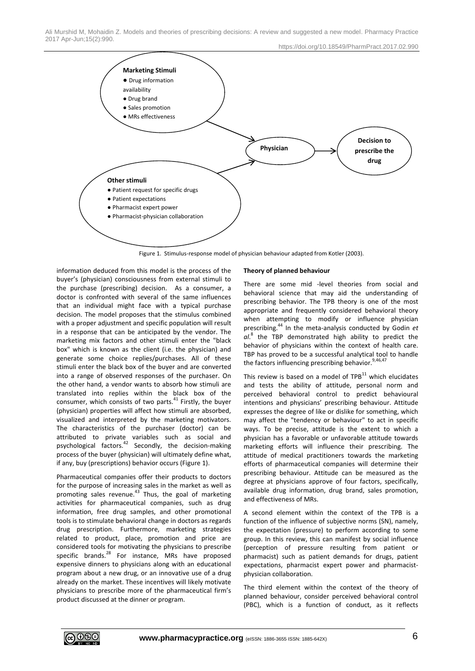Ali Murshid M, Mohaidin Z. Models and theories of prescribing decisions: A review and suggested a new model. Pharmacy Practice 2017 Apr-Jun;15(2):990. https://doi.org/10.18549/PharmPract.2017.02.990



Figure 1. Stimulus-response model of physician behaviour adapted from Kotler (2003).

information deduced from this model is the process of the buyer's (physician) consciousness from external stimuli to the purchase (prescribing) decision. As a consumer, a doctor is confronted with several of the same influences that an individual might face with a typical purchase decision. The model proposes that the stimulus combined with a proper adjustment and specific population will result in a response that can be anticipated by the vendor. The marketing mix factors and other stimuli enter the "black box" which is known as the client (i.e. the physician) and generate some choice replies/purchases. All of these stimuli enter the black box of the buyer and are converted into a range of observed responses of the purchaser. On the other hand, a vendor wants to absorb how stimuli are translated into replies within the black box of the consumer, which consists of two parts.<sup>41</sup> Firstly, the buyer (physician) properties will affect how stimuli are absorbed, visualized and interpreted by the marketing motivators. The characteristics of the purchaser (doctor) can be attributed to private variables such as social and psychological factors. $42$  Secondly, the decision-making process of the buyer (physician) will ultimately define what, if any, buy (prescriptions) behavior occurs (Figure 1).

Pharmaceutical companies offer their products to doctors for the purpose of increasing sales in the market as well as promoting sales revenue. $43$  Thus, the goal of marketing activities for pharmaceutical companies, such as drug information, free drug samples, and other promotional tools is to stimulate behavioral change in doctors as regards drug prescription. Furthermore, marketing strategies related to product, place, promotion and price are considered tools for motivating the physicians to prescribe specific brands.<sup>28</sup> For instance, MRs have proposed expensive dinners to physicians along with an educational program about a new drug, or an innovative use of a drug already on the market. These incentives will likely motivate physicians to prescribe more of the pharmaceutical firm's product discussed at the dinner or program.

#### **Theory of planned behaviour**

There are some mid -level theories from social and behavioral science that may aid the understanding of prescribing behavior. The TPB theory is one of the most appropriate and frequently considered behavioral theory when attempting to modify or influence physician prescribing.<sup>44</sup> In the meta-analysis conducted by Godin *et al*. 8 the TBP demonstrated high ability to predict the behavior of physicians within the context of health care. TBP has proved to be a successful analytical tool to handle the factors influencing prescribing behavior.  $9,46$ 

This review is based on a model of  $TPB<sup>11</sup>$  which elucidates and tests the ability of attitude, personal norm and perceived behavioral control to predict behavioural intentions and physicians' prescribing behaviour. Attitude expresses the degree of like or dislike for something, which may affect the "tendency or behaviour" to act in specific ways. To be precise, attitude is the extent to which a physician has a favorable or unfavorable attitude towards marketing efforts will influence their prescribing. The attitude of medical practitioners towards the marketing efforts of pharmaceutical companies will determine their prescribing behaviour. Attitude can be measured as the degree at physicians approve of four factors, specifically, available drug information, drug brand, sales promotion, and effectiveness of MRs.

A second element within the context of the TPB is a function of the influence of subjective norms (SN), namely, the expectation (pressure) to perform according to some group. In this review, this can manifest by social influence (perception of pressure resulting from patient or pharmacist) such as patient demands for drugs, patient expectations, pharmacist expert power and pharmacistphysician collaboration.

The third element within the context of the theory of planned behaviour, consider perceived behavioral control (PBC), which is a function of conduct, as it reflects

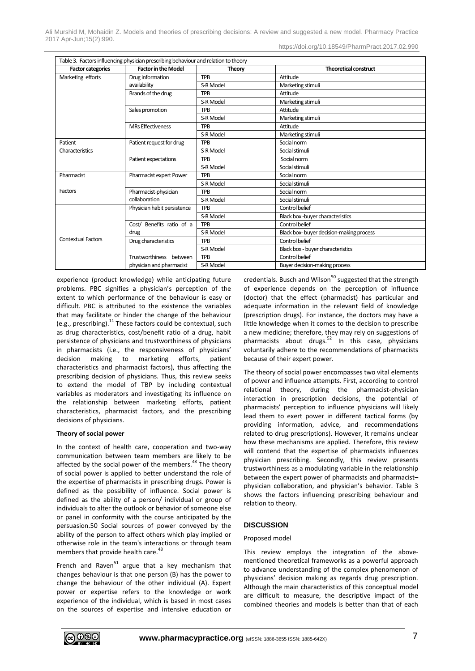| https://doi.org/10.18549/PharmPract.2017.02.990 |  |
|-------------------------------------------------|--|
|                                                 |  |

| Table 3. Factors influencing physician prescribing behaviour and relation to theory |                             |               |                                          |  |
|-------------------------------------------------------------------------------------|-----------------------------|---------------|------------------------------------------|--|
| <b>Factor categories</b>                                                            | <b>Factor in the Model</b>  | <b>Theory</b> | <b>Theoretical construct</b>             |  |
| Marketing efforts                                                                   | Drug information            | <b>TPB</b>    | Attitude                                 |  |
|                                                                                     | availability                | S-R Model     | Marketing stimuli                        |  |
|                                                                                     | Brands of the drug          | <b>TPB</b>    | Attitude                                 |  |
|                                                                                     |                             | S-R Model     | Marketing stimuli                        |  |
|                                                                                     | Sales promotion             | <b>TPB</b>    | Attitude                                 |  |
|                                                                                     |                             | S-R Model     | Marketing stimuli                        |  |
|                                                                                     | <b>MRs Effectiveness</b>    | <b>TPB</b>    | Attitude                                 |  |
|                                                                                     |                             | S-R Model     | Marketing stimuli                        |  |
| Patient                                                                             | Patient request for drug    | <b>TPB</b>    | Social norm                              |  |
| Characteristics                                                                     |                             | S-R Model     | Social stimuli                           |  |
|                                                                                     | Patient expectations        | <b>TPB</b>    | Social norm                              |  |
|                                                                                     |                             | S-R Model     | Social stimuli                           |  |
| Pharmacist                                                                          | Pharmacist expert Power     | <b>TPB</b>    | Social norm                              |  |
|                                                                                     |                             | S-R Model     | Social stimuli                           |  |
| Factors                                                                             | Pharmacist-physician        | <b>TPB</b>    | Social norm                              |  |
|                                                                                     | collaboration               | S-R Model     | Social stimuli                           |  |
|                                                                                     | Physician habit persistence | <b>TPB</b>    | Control belief                           |  |
|                                                                                     |                             | S-R Model     | Black box-buyer characteristics          |  |
|                                                                                     | Cost/ Benefits ratio of a   | <b>TPB</b>    | Control belief                           |  |
|                                                                                     | drug                        | S-R Model     | Black box- buyer decision-making process |  |
| <b>Contextual Factors</b>                                                           | Drug characteristics        | <b>TPB</b>    | Control belief                           |  |
|                                                                                     |                             | S-R Model     | Black box - buyer characteristics        |  |
|                                                                                     | Trustworthiness between     | <b>TPB</b>    | Control belief                           |  |
|                                                                                     | physician and pharmacist    | S-R Model     | Buyer decision-making process            |  |

experience (product knowledge) while anticipating future problems. PBC signifies a physician's perception of the extent to which performance of the behaviour is easy or difficult. PBC is attributed to the existence the variables that may facilitate or hinder the change of the behaviour (e.g., prescribing). $^{11}$  These factors could be contextual, such as drug characteristics, cost/benefit ratio of a drug, habit persistence of physicians and trustworthiness of physicians in pharmacists (i.e., the responsiveness of physicians' decision making to marketing efforts, patient characteristics and pharmacist factors), thus affecting the prescribing decision of physicians. Thus, this review seeks to extend the model of TBP by including contextual variables as moderators and investigating its influence on the relationship between marketing efforts, patient characteristics, pharmacist factors, and the prescribing decisions of physicians.

## **Theory of social power**

In the context of health care, cooperation and two-way communication between team members are likely to be affected by the social power of the members.<sup>48</sup> The theory of social power is applied to better understand the role of the expertise of pharmacists in prescribing drugs. Power is defined as the possibility of influence. Social power is defined as the ability of a person/ individual or group of individuals to alter the outlook or behavior of someone else or panel in conformity with the course anticipated by the persuasion.50 Social sources of power conveyed by the ability of the person to affect others which play implied or otherwise role in the team's interactions or through team members that provide health care.<sup>48</sup>

French and Raven<sup>51</sup> argue that a key mechanism that changes behaviour is that one person (B) has the power to change the behaviour of the other individual (A). Expert power or expertise refers to the knowledge or work experience of the individual, which is based in most cases on the sources of expertise and intensive education or credentials. Busch and Wilson<sup>50</sup> suggested that the strength of experience depends on the perception of influence (doctor) that the effect (pharmacist) has particular and adequate information in the relevant field of knowledge (prescription drugs). For instance, the doctors may have a little knowledge when it comes to the decision to prescribe a new medicine; therefore, they may rely on suggestions of pharmacists about drugs. $52$  In this case, physicians voluntarily adhere to the recommendations of pharmacists because of their expert power.

The theory of social power encompasses two vital elements of power and influence attempts. First, according to control relational theory, during the pharmacist-physician interaction in prescription decisions, the potential of pharmacists' perception to influence physicians will likely lead them to exert power in different tactical forms (by providing information, advice, and recommendations related to drug prescriptions). However, it remains unclear how these mechanisms are applied. Therefore, this review will contend that the expertise of pharmacists influences physician prescribing. Secondly, this review presents trustworthiness as a modulating variable in the relationship between the expert power of pharmacists and pharmacist– physician collaboration, and physician's behavior. Table 3 shows the factors influencing prescribing behaviour and relation to theory.

# **DISCUSSION**

#### Proposed model

This review employs the integration of the abovementioned theoretical frameworks as a powerful approach to advance understanding of the complex phenomenon of physicians' decision making as regards drug prescription. Although the main characteristics of this conceptual model are difficult to measure, the descriptive impact of the combined theories and models is better than that of each

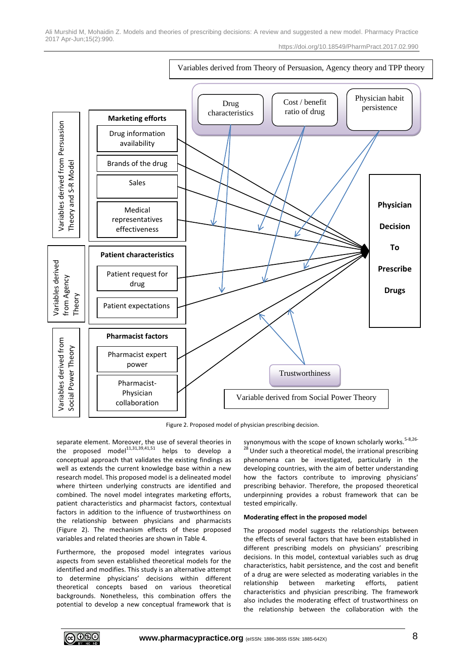

Figure 2. Proposed model of physician prescribing decision.

separate element. Moreover, the use of several theories in the proposed model $11,31,39,41,51$  helps to develop a conceptual approach that validates the existing findings as well as extends the current knowledge base within a new research model. This proposed model is a delineated model where thirteen underlying constructs are identified and combined. The novel model integrates marketing efforts, patient characteristics and pharmacist factors, contextual factors in addition to the influence of trustworthiness on the relationship between physicians and pharmacists (Figure 2). The mechanism effects of these proposed variables and related theories are shown in Table 4.

Furthermore, the proposed model integrates various aspects from seven established theoretical models for the identified and modifies. This study is an alternative attempt to determine physicians' decisions within different theoretical concepts based on various theoretical backgrounds. Nonetheless, this combination offers the potential to develop a new conceptual framework that is

synonymous with the scope of known scholarly works.<sup>5-8,26-</sup> <sup>28</sup> Under such a theoretical model, the irrational prescribing phenomena can be investigated, particularly in the developing countries, with the aim of better understanding how the factors contribute to improving physicians' prescribing behavior. Therefore, the proposed theoretical underpinning provides a robust framework that can be tested empirically.

#### **Moderating effect in the proposed model**

The proposed model suggests the relationships between the effects of several factors that have been established in different prescribing models on physicians' prescribing decisions. In this model, contextual variables such as drug characteristics, habit persistence, and the cost and benefit of a drug are were selected as moderating variables in the relationship between marketing efforts, patient characteristics and physician prescribing. The framework also includes the moderating effect of trustworthiness on the relationship between the collaboration with the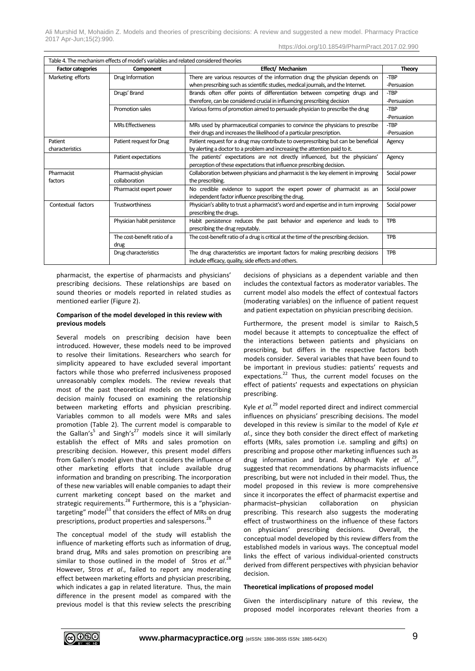| Table 4. The mechanism effects of model's variables and related considered theories |                             |                                                                                       |               |  |
|-------------------------------------------------------------------------------------|-----------------------------|---------------------------------------------------------------------------------------|---------------|--|
| <b>Factor categories</b>                                                            | Component                   | Effect/ Mechanism                                                                     | <b>Theory</b> |  |
| Marketing efforts                                                                   | Drug Information            | There are various resources of the information drug the physician depends on          | -TBP          |  |
|                                                                                     |                             | when prescribing such as scientific studies, medical journals, and the Internet.      | -Persuasion   |  |
|                                                                                     | Drugs' Brand                | Brands often offer points of differentiation between competing drugs and              | -TBP          |  |
|                                                                                     |                             | therefore, can be considered crucial in influencing prescribing decision              | -Persuasion   |  |
|                                                                                     | Promotion sales             | Various forms of promotion aimed to persuade physician to prescribe the drug          | -TBP          |  |
|                                                                                     |                             |                                                                                       | -Persuasion   |  |
|                                                                                     | <b>MRs Effectiveness</b>    | MRs used by pharmaceutical companies to convince the physicians to prescribe          | -TBP          |  |
|                                                                                     |                             | their drugs and increases the likelihood of a particular prescription.                | -Persuasion   |  |
| Patient                                                                             | Patient request for Drug    | Patient request for a drug may contribute to overprescribing but can be beneficial    | Agency        |  |
| characteristics                                                                     |                             | by alerting a doctor to a problem and increasing the attention paid to it.            |               |  |
|                                                                                     | Patient expectations        | The patients' expectations are not directly influenced, but the physicians'           | Agency        |  |
|                                                                                     |                             | perception of these expectations that influence prescribing decision.                 |               |  |
| Pharmacist                                                                          | Pharmacist-physician        | Collaboration between physicians and pharmacist is the key element in improving       | Social power  |  |
| factors                                                                             | collaboration               | the prescribing.                                                                      |               |  |
|                                                                                     | Pharmacist expert power     | No credible evidence to support the expert power of pharmacist as an                  | Social power  |  |
|                                                                                     |                             | independent factor influence prescribing the drug.                                    |               |  |
| Contextual factors                                                                  | Trustworthiness             | Physician's ability to trust a pharmacist's word and expertise and in turn improving  | Social power  |  |
|                                                                                     |                             | prescribing the drugs.                                                                |               |  |
|                                                                                     | Physician habit persistence | Habit persistence reduces the past behavior and experience and leads to               | <b>TPB</b>    |  |
|                                                                                     |                             | prescribing the drug reputably.                                                       |               |  |
|                                                                                     | The cost-benefit ratio of a | The cost-benefit ratio of a drug is critical at the time of the prescribing decision. | <b>TPB</b>    |  |
|                                                                                     | drug                        |                                                                                       |               |  |
|                                                                                     | Drug characteristics        | The drug characteristics are important factors for making prescribing decisions       | <b>TPB</b>    |  |
|                                                                                     |                             | include efficacy, quality, side effects and others.                                   |               |  |

pharmacist, the expertise of pharmacists and physicians' prescribing decisions. These relationships are based on sound theories or models reported in related studies as mentioned earlier (Figure 2).

#### **Comparison of the model developed in this review with previous models**

Several models on prescribing decision have been introduced. However, these models need to be improved to resolve their limitations. Researchers who search for simplicity appeared to have excluded several important factors while those who preferred inclusiveness proposed unreasonably complex models. The review reveals that most of the past theoretical models on the prescribing decision mainly focused on examining the relationship between marketing efforts and physician prescribing. Variables common to all models were MRs and sales promotion (Table 2). The current model is comparable to the Gallan's<sup>5</sup> and Singh's<sup>27</sup> models since it will similarly establish the effect of MRs and sales promotion on prescribing decision. However, this present model differs from Gallen's model given that it considers the influence of other marketing efforts that include available drug information and branding on prescribing. The incorporation of these new variables will enable companies to adapt their current marketing concept based on the market and strategic requirements. $^{28}$  Furthermore, this is a "physiciantargeting" model<sup>53</sup> that considers the effect of MRs on drug prescriptions, product properties and salespersons.<sup>28</sup>

The conceptual model of the study will establish the influence of marketing efforts such as information of drug, brand drug, MRs and sales promotion on prescribing are similar to those outlined in the model of Stros *et al*. 28 However, Stros *et al*., failed to report any moderating effect between marketing efforts and physician prescribing, which indicates a gap in related literature. Thus, the main difference in the present model as compared with the previous model is that this review selects the prescribing decisions of physicians as a dependent variable and then includes the contextual factors as moderator variables. The current model also models the effect of contextual factors (moderating variables) on the influence of patient request and patient expectation on physician prescribing decision.

Furthermore, the present model is similar to Raisch,5 model because it attempts to conceptualize the effect of the interactions between patients and physicians on prescribing, but differs in the respective factors both models consider. Several variables that have been found to be important in previous studies: patients' requests and expectations.<sup>22</sup> Thus, the current model focuses on the effect of patients' requests and expectations on physician prescribing.

Kyle *et al*. <sup>29</sup> model reported direct and indirect commercial influences on physicians' prescribing decisions. The model developed in this review is similar to the model of Kyle *et al*., since they both consider the direct effect of marketing efforts (MRs, sales promotion i.e. sampling and gifts) on prescribing and propose other marketing influences such as drug information and brand. Although Kyle *et al*. 29 , suggested that recommendations by pharmacists influence prescribing, but were not included in their model. Thus, the model proposed in this review is more comprehensive since it incorporates the effect of pharmacist expertise and pharmacist–physician collaboration on physician prescribing. This research also suggests the moderating effect of trustworthiness on the influence of these factors on physicians' prescribing decisions. Overall, the conceptual model developed by this review differs from the established models in various ways. The conceptual model links the effect of various individual-oriented constructs derived from different perspectives with physician behavior decision.

## **Theoretical implications of proposed model**

Given the interdisciplinary nature of this review, the proposed model incorporates relevant theories from a

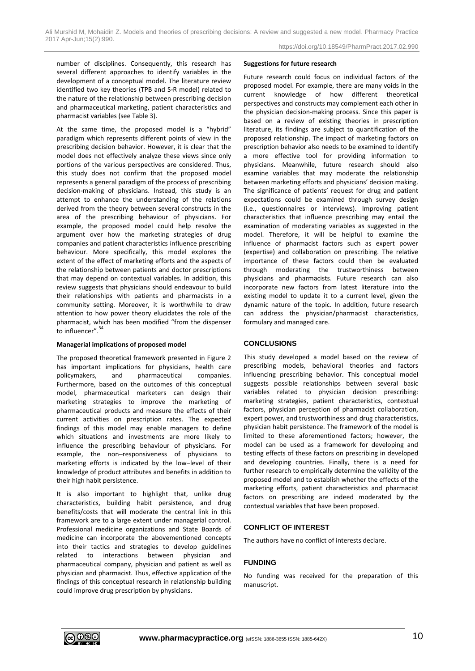number of disciplines. Consequently, this research has several different approaches to identify variables in the development of a conceptual model. The literature review identified two key theories (TPB and S-R model) related to the nature of the relationship between prescribing decision and pharmaceutical marketing, patient characteristics and pharmacist variables (see Table 3).

At the same time, the proposed model is a "hybrid" paradigm which represents different points of view in the prescribing decision behavior. However, it is clear that the model does not effectively analyze these views since only portions of the various perspectives are considered. Thus, this study does not confirm that the proposed model represents a general paradigm of the process of prescribing decision-making of physicians. Instead, this study is an attempt to enhance the understanding of the relations derived from the theory between several constructs in the area of the prescribing behaviour of physicians. For example, the proposed model could help resolve the argument over how the marketing strategies of drug companies and patient characteristics influence prescribing behaviour. More specifically, this model explores the extent of the effect of marketing efforts and the aspects of the relationship between patients and doctor prescriptions that may depend on contextual variables. In addition, this review suggests that physicians should endeavour to build their relationships with patients and pharmacists in a community setting. Moreover, it is worthwhile to draw attention to how power theory elucidates the role of the pharmacist, which has been modified "from the dispenser to influencer".<sup>54</sup>

#### **Managerial implications of proposed model**

The proposed theoretical framework presented in Figure 2 has important implications for physicians, health care policymakers, and pharmaceutical companies. Furthermore, based on the outcomes of this conceptual model, pharmaceutical marketers can design their marketing strategies to improve the marketing of pharmaceutical products and measure the effects of their current activities on prescription rates. The expected findings of this model may enable managers to define which situations and investments are more likely to influence the prescribing behaviour of physicians. For example, the non–responsiveness of physicians to marketing efforts is indicated by the low–level of their knowledge of product attributes and benefits in addition to their high habit persistence.

It is also important to highlight that, unlike drug characteristics, building habit persistence, and drug benefits/costs that will moderate the central link in this framework are to a large extent under managerial control. Professional medicine organizations and State Boards of medicine can incorporate the abovementioned concepts into their tactics and strategies to develop guidelines related to interactions between physician and pharmaceutical company, physician and patient as well as physician and pharmacist. Thus, effective application of the findings of this conceptual research in relationship building could improve drug prescription by physicians.

#### **Suggestions for future research**

Future research could focus on individual factors of the proposed model. For example, there are many voids in the current knowledge of how different theoretical perspectives and constructs may complement each other in the physician decision-making process. Since this paper is based on a review of existing theories in prescription literature, its findings are subject to quantification of the proposed relationship. The impact of marketing factors on prescription behavior also needs to be examined to identify a more effective tool for providing information to physicians. Meanwhile, future research should also examine variables that may moderate the relationship between marketing efforts and physicians' decision making. The significance of patients' request for drug and patient expectations could be examined through survey design (i.e., questionnaires or interviews). Improving patient characteristics that influence prescribing may entail the examination of moderating variables as suggested in the model. Therefore, it will be helpful to examine the influence of pharmacist factors such as expert power (expertise) and collaboration on prescribing. The relative importance of these factors could then be evaluated through moderating the trustworthiness between physicians and pharmacists. Future research can also incorporate new factors from latest literature into the existing model to update it to a current level, given the dynamic nature of the topic. In addition, future research can address the physician/pharmacist characteristics, formulary and managed care.

#### **CONCLUSIONS**

This study developed a model based on the review of prescribing models, behavioral theories and factors influencing prescribing behavior. This conceptual model suggests possible relationships between several basic variables related to physician decision prescribing: marketing strategies, patient characteristics, contextual factors, physician perception of pharmacist collaboration, expert power, and trustworthiness and drug characteristics, physician habit persistence. The framework of the model is limited to these aforementioned factors; however, the model can be used as a framework for developing and testing effects of these factors on prescribing in developed and developing countries. Finally, there is a need for further research to empirically determine the validity of the proposed model and to establish whether the effects of the marketing efforts, patient characteristics and pharmacist factors on prescribing are indeed moderated by the contextual variables that have been proposed.

#### **CONFLICT OF INTEREST**

The authors have no conflict of interests declare.

# **FUNDING**

No funding was received for the preparation of this manuscript.

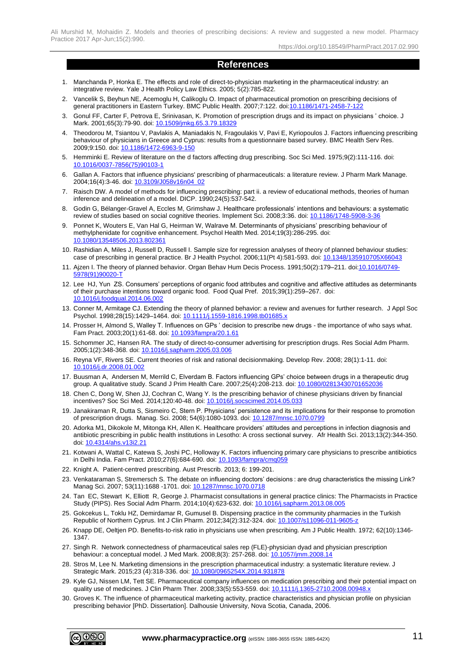https://doi.org/10.18549/PharmPract.2017.02.990

# **References**

- 1. Manchanda P, Honka E. The effects and role of direct-to-physician marketing in the pharmaceutical industry: an integrative review. Yale J Health Policy Law Ethics. 2005; 5(2):785-822.
- 2. Vancelik S, Beyhun NE, Acemoglu H, Calikoglu O. Impact of pharmaceutical promotion on prescribing decisions of general practitioners in Eastern Turkey. BMC Public Health. 2007;7:122. doi:10.1186/1471-2458-7-1
- 3. Gonul FF, Carter F, Petrova E, Srinivasan, K. Promotion of prescription drugs and its impact on physicians ' choice. J Mark. 2001;65(3):79-90. doi[: 10.1509/jmkg.65.3.79.18329](https://doi.org/10.1509/jmkg.65.3.79.18329)
- 4. Theodorou M, Tsiantou V, Pavlakis A, Maniadakis N, Fragoulakis V, Pavi E, Kyriopoulos J. Factors influencing prescribing behaviour of physicians in Greece and Cyprus: results from a questionnaire based survey. BMC Health Serv Res. 2009;9:150. doi: [10.1186/1472-6963-9-150](https://doi.org/10.1186/1472-6963-9-150)
- 5. Hemminki E. Review of literature on the d factors affecting drug prescribing. Soc Sci Med. 1975;9(2):111-116. doi: [10.1016/0037-7856\(75\)90103-1](https://doi.org/10.1016/0037-7856(75)90103-1)
- 6. Gallan A. Factors that influence physicians' prescribing of pharmaceuticals: a literature review. J Pharm Mark Manage. 2004;16(4):3-46. doi[: 10.3109/J058v16n04\\_02](https://doi.org/10.3109/J058v16n04_02)
- 7. Raisch DW. A model of methods for influencing prescribing: part ii. a review of educational methods, theories of human inference and delineation of a model. DICP. 1990;24(5):537-542.
- 8. Godin G, Bélanger-Gravel A, Eccles M, Grimshaw J. Healthcare professionals' intentions and behaviours: a systematic review of studies based on social cognitive theories. Implement Sci. 2008;3:36. doi: 10.1186/1748-5908-3-3
- 9. Ponnet K, Wouters E, Van Hal G, Heirman W, Walrave M. Determinants of physicians' prescribing behaviour of methylphenidate for cognitive enhancement. Psychol Health Med. 2014;19(3):286-295. doi: [10.1080/13548506.2013.802361](https://doi.org/10.1080/13548506.2013.802361)
- 10. Rashidian A, Miles J, Russell D, Russell I. Sample size for regression analyses of theory of planned behaviour studies: case of prescribing in general practice. Br J Health Psychol. 2006;11(Pt 4):581-593. doi[: 10.1348/135910705X66043](https://doi.org/10.1348/135910705X66043)
- 11. Ajzen I. The theory of planned behavior. Organ Behav Hum Decis Process. 1991;50(2):179–211. do[i:10.1016/0749-](https://doi.org/10.1016/0749-5978(91)90020-T) [5978\(91\)90020-T](https://doi.org/10.1016/0749-5978(91)90020-T)
- 12. Lee HJ, Yun ZS. Consumers' perceptions of organic food attributes and cognitive and affective attitudes as determinants of their purchase intentions toward organic food. Food Qual Pref. 2015;39(1):259–267. doi: [10.1016/j.foodqual.2014.06.002](https://doi.org/10.1016/j.foodqual.2014.06.002)
- 13. Conner M, Armitage CJ. Extending the theory of planned behavior: a review and avenues for further research. J Appl Soc Psychol. 1998;28(15):1429–1464. doi[: 10.1111/j.1559-1816.1998.tb01685.x](https://doi.org/10.1111/j.1559-1816.1998.tb01685.x)
- 14. Prosser H, Almond S, Walley T. Influences on GPs ' decision to prescribe new drugs the importance of who says what. Fam Pract. 2003;20(1):61-68. doi: [10.1093/fampra/20.1.61](https://doi.org/10.1093/fampra/20.1.61)
- 15. Schommer JC, Hansen RA. The study of direct-to-consumer advertising for prescription drugs. Res Social Adm Pharm. 2005;1(2):348-368. doi[: 10.1016/j.sapharm.2005.03.006](https://doi.org/10.1016/j.sapharm.2005.03.006)
- 16. Reyna VF, Rivers SE. Current theories of risk and rational decisionmaking. Develop Rev. 2008; 28(1):1-11. doi: [10.1016/j.dr.2008.01.002](https://doi.org/10.1016/j.dr.2008.01.002)
- 17. Buusman A, Andersen M, Merrild C, Elverdam B. Factors influencing GPs' choice between drugs in a therapeutic drug group. A qualitative study. Scand J Prim Health Care. 2007;25(4):208-213. doi[: 10.1080/02813430701652036](https://doi.org/10.1080/02813430701652036)
- 18. Chen C, Dong W, Shen JJ, Cochran C, Wang Y. Is the prescribing behavior of chinese physicians driven by financial incentives? Soc Sci Med. 2014;120:40-48. doi[: 10.1016/j.socscimed.2014.05.033](https://doi.org/10.1016/j.socscimed.2014.05.033)
- 19. Janakiraman R, Dutta S, Sismeiro C, Stern P. Physicians' persistence and its implications for their response to promotion of prescription drugs. Manag. Sci. 2008; 54(6):1080-1093. doi: [10.1287/mnsc.1070.0799](https://doi.org/10.1287/mnsc.1070.0799)
- 20. Adorka M1, Dikokole M, Mitonga KH, Allen K. Healthcare providers' attitudes and perceptions in infection diagnosis and antibiotic prescribing in public health institutions in Lesotho: A cross sectional survey. Afr Health Sci. 2013;13(2):344-350. doi[: 10.4314/ahs.v13i2.21](https://doi.org/10.4314/ahs.v13i2.21)
- 21. Kotwani A, Wattal C, Katewa S, Joshi PC, Holloway K. Factors influencing primary care physicians to prescribe antibiotics in Delhi India. Fam Pract. 2010;27(6):684-690. doi: 10.1093/fampra/cmq0
- 22. Knight A. Patient-centred prescribing. Aust Prescrib. 2013; 6: 199-201.
- 23. Venkataraman S, Stremersch S. The debate on influencing doctors' decisions : are drug characteristics the missing Link? Manag Sci. 2007; 53(11):1688 -1701. doi: [10.1287/mnsc.1070.0718](https://doi.org/10.1287/mnsc.1070.0718)
- 24. Tan EC, Stewart K, Elliott R, George J. Pharmacist consultations in general practice clinics: The Pharmacists in Practice Study (PIPS). Res Social Adm Pharm. 2014;10(4):623-632. doi: [10.1016/j.sapharm.2013.08.005](https://doi.org/10.1016/j.sapharm.2013.08.005)
- 25. Gokcekus L, Toklu HZ, Demirdamar R, Gumusel B. Dispensing practice in the community pharmacies in the Turkish Republic of Northern Cyprus. Int J Clin Pharm. 2012;34(2):312-324. doi: [10.1007/s11096-011-9605-z](https://doi.org/10.1007/s11096-011-9605-z)
- 26. Knapp DE, Oeltjen PD. Benefits-to-risk ratio in physicians use when prescribing. Am J Public Health. 1972; 62(10):1346- 1347.
- 27. Singh R. Network connectedness of pharmaceutical sales rep (FLE)-physician dyad and physician prescription behaviour: a conceptual model. J Med Mark. 2008;8(3): 257-268. doi[: 10.1057/jmm.2008.14](https://doi.org/10.1057/jmm.2008.14)
- 28. Stros M, Lee N. Marketing dimensions in the prescription pharmaceutical industry: a systematic literature review. J Strategic Mark. 2015;23 (4):318-336. doi: [10.1080/0965254X.2014.931878](https://doi.org/10.1080/0965254X.2014.931878)
- 29. Kyle GJ, Nissen LM, Tett SE. Pharmaceutical company influences on medication prescribing and their potential impact on quality use of medicines. J Clin Pharm Ther. 2008;33(5):553-559. doi: [10.1111/j.1365-2710.2008.00948.x](https://doi.org/10.1111/j.1365-2710.2008.00948.x)
- 30. Groves K. The influence of pharmaceutical marketing activity, practice characteristics and physician profile on physician prescribing behavior [PhD. Dissertation]. Dalhousie University, Nova Scotia, Canada, 2006.